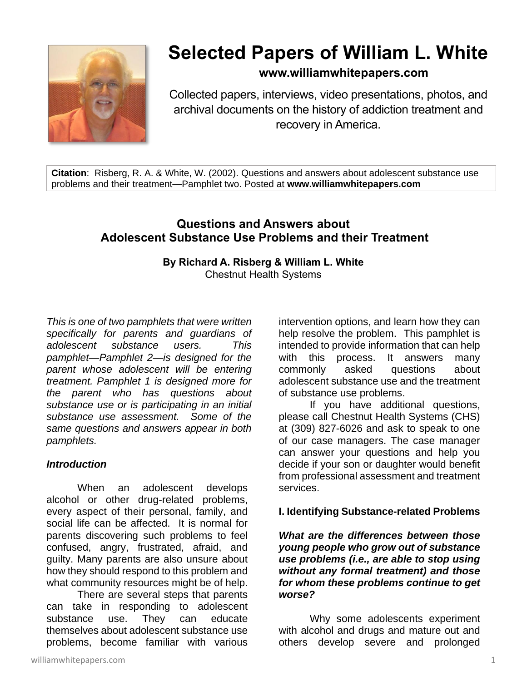

# **Selected Papers of William L. White**

**www.williamwhitepapers.com**

Collected papers, interviews, video presentations, photos, and archival documents on the history of addiction treatment and recovery in America.

**Citation**: Risberg, R. A. & White, W. (2002). Questions and answers about adolescent substance use problems and their treatment—Pamphlet two. Posted at **www.williamwhitepapers.com**

# **Questions and Answers about Adolescent Substance Use Problems and their Treatment**

# **By Richard A. Risberg & William L. White**  Chestnut Health Systems

*This is one of two pamphlets that were written specifically for parents and guardians of adolescent substance users. This pamphlet—Pamphlet 2—is designed for the parent whose adolescent will be entering treatment. Pamphlet 1 is designed more for the parent who has questions about substance use or is participating in an initial substance use assessment. Some of the same questions and answers appear in both pamphlets.*

# *Introduction*

When an adolescent develops alcohol or other drug-related problems, every aspect of their personal, family, and social life can be affected. It is normal for parents discovering such problems to feel confused, angry, frustrated, afraid, and guilty. Many parents are also unsure about how they should respond to this problem and what community resources might be of help.

There are several steps that parents can take in responding to adolescent substance use. They can educate themselves about adolescent substance use problems, become familiar with various

intervention options, and learn how they can help resolve the problem. This pamphlet is intended to provide information that can help with this process. It answers many commonly asked questions about adolescent substance use and the treatment of substance use problems.

If you have additional questions, please call Chestnut Health Systems (CHS) at (309) 827-6026 and ask to speak to one of our case managers. The case manager can answer your questions and help you decide if your son or daughter would benefit from professional assessment and treatment services.

#### **I. Identifying Substance-related Problems**

*What are the differences between those young people who grow out of substance use problems (i.e., are able to stop using without any formal treatment) and those for whom these problems continue to get worse?* 

Why some adolescents experiment with alcohol and drugs and mature out and others develop severe and prolonged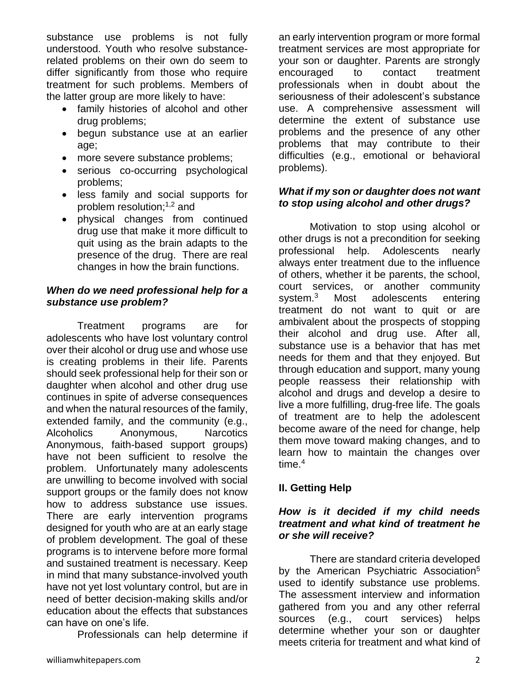substance use problems is not fully understood. Youth who resolve substancerelated problems on their own do seem to differ significantly from those who require treatment for such problems. Members of the latter group are more likely to have:

- family histories of alcohol and other drug problems;
- begun substance use at an earlier age;
- more severe substance problems;
- serious co-occurring psychological problems;
- less family and social supports for problem resolution; $1,2$  and
- physical changes from continued drug use that make it more difficult to quit using as the brain adapts to the presence of the drug. There are real changes in how the brain functions.

### *When do we need professional help for a substance use problem?*

Treatment programs are for adolescents who have lost voluntary control over their alcohol or drug use and whose use is creating problems in their life. Parents should seek professional help for their son or daughter when alcohol and other drug use continues in spite of adverse consequences and when the natural resources of the family, extended family, and the community (e.g., Alcoholics Anonymous, Narcotics Anonymous, faith-based support groups) have not been sufficient to resolve the problem. Unfortunately many adolescents are unwilling to become involved with social support groups or the family does not know how to address substance use issues. There are early intervention programs designed for youth who are at an early stage of problem development. The goal of these programs is to intervene before more formal and sustained treatment is necessary. Keep in mind that many substance-involved youth have not yet lost voluntary control, but are in need of better decision-making skills and/or education about the effects that substances can have on one's life.

Professionals can help determine if

an early intervention program or more formal treatment services are most appropriate for your son or daughter. Parents are strongly encouraged to contact treatment professionals when in doubt about the seriousness of their adolescent's substance use. A comprehensive assessment will determine the extent of substance use problems and the presence of any other problems that may contribute to their difficulties (e.g., emotional or behavioral problems).

# *What if my son or daughter does not want to stop using alcohol and other drugs?*

Motivation to stop using alcohol or other drugs is not a precondition for seeking professional help. Adolescents nearly always enter treatment due to the influence of others, whether it be parents, the school, court services, or another community system.<sup>3</sup> Most adolescents entering treatment do not want to quit or are ambivalent about the prospects of stopping their alcohol and drug use. After all, substance use is a behavior that has met needs for them and that they enjoyed. But through education and support, many young people reassess their relationship with alcohol and drugs and develop a desire to live a more fulfilling, drug-free life. The goals of treatment are to help the adolescent become aware of the need for change, help them move toward making changes, and to learn how to maintain the changes over time.<sup>4</sup>

# **II. Getting Help**

# *How is it decided if my child needs treatment and what kind of treatment he or she will receive?*

There are standard criteria developed by the American Psychiatric Association<sup>5</sup> used to identify substance use problems. The assessment interview and information gathered from you and any other referral sources (e.g., court services) helps determine whether your son or daughter meets criteria for treatment and what kind of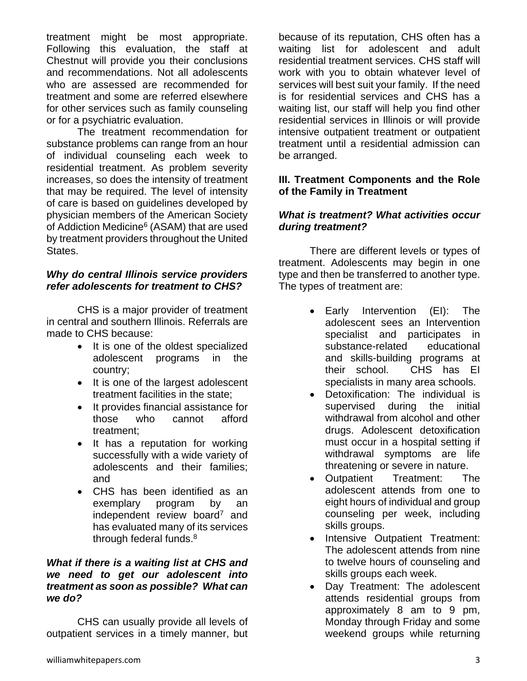treatment might be most appropriate. Following this evaluation, the staff at Chestnut will provide you their conclusions and recommendations. Not all adolescents who are assessed are recommended for treatment and some are referred elsewhere for other services such as family counseling or for a psychiatric evaluation.

The treatment recommendation for substance problems can range from an hour of individual counseling each week to residential treatment. As problem severity increases, so does the intensity of treatment that may be required. The level of intensity of care is based on guidelines developed by physician members of the American Society of Addiction Medicine<sup>6</sup> (ASAM) that are used by treatment providers throughout the United States.

### *Why do central Illinois service providers refer adolescents for treatment to CHS?*

CHS is a major provider of treatment in central and southern Illinois. Referrals are made to CHS because:

- It is one of the oldest specialized adolescent programs in the country;
- It is one of the largest adolescent treatment facilities in the state;
- It provides financial assistance for those who cannot afford treatment;
- It has a reputation for working successfully with a wide variety of adolescents and their families; and
- CHS has been identified as an exemplary program by an independent review board<sup>7</sup> and has evaluated many of its services through federal funds.<sup>8</sup>

#### *What if there is a waiting list at CHS and we need to get our adolescent into treatment as soon as possible? What can we do?*

CHS can usually provide all levels of outpatient services in a timely manner, but because of its reputation, CHS often has a waiting list for adolescent and adult residential treatment services. CHS staff will work with you to obtain whatever level of services will best suit your family. If the need is for residential services and CHS has a waiting list, our staff will help you find other residential services in Illinois or will provide intensive outpatient treatment or outpatient treatment until a residential admission can be arranged.

### **III. Treatment Components and the Role of the Family in Treatment**

### *What is treatment? What activities occur during treatment?*

There are different levels or types of treatment. Adolescents may begin in one type and then be transferred to another type. The types of treatment are:

- Early Intervention (EI): The adolescent sees an Intervention specialist and participates in substance-related educational and skills-building programs at their school. CHS has EI specialists in many area schools.
- Detoxification: The individual is supervised during the initial withdrawal from alcohol and other drugs. Adolescent detoxification must occur in a hospital setting if withdrawal symptoms are life threatening or severe in nature.
- Outpatient Treatment: The adolescent attends from one to eight hours of individual and group counseling per week, including skills groups.
- Intensive Outpatient Treatment: The adolescent attends from nine to twelve hours of counseling and skills groups each week.
- Day Treatment: The adolescent attends residential groups from approximately 8 am to 9 pm, Monday through Friday and some weekend groups while returning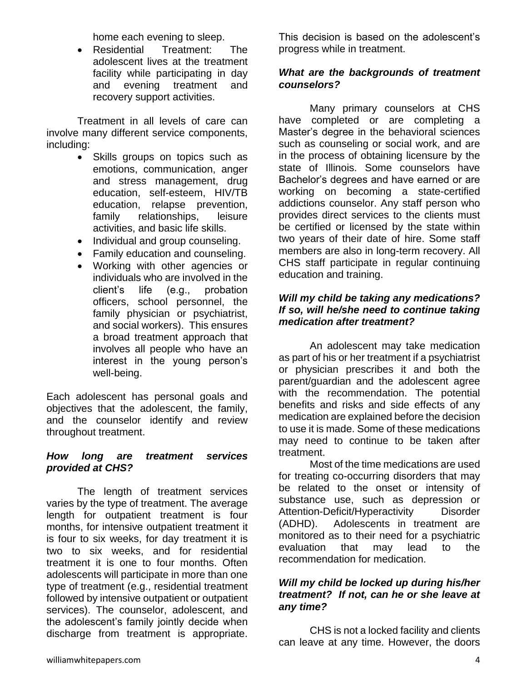home each evening to sleep.

• Residential Treatment: The adolescent lives at the treatment facility while participating in day and evening treatment and recovery support activities.

Treatment in all levels of care can involve many different service components, including:

- Skills groups on topics such as emotions, communication, anger and stress management, drug education, self-esteem, HIV/TB education, relapse prevention, family relationships, leisure activities, and basic life skills.
- Individual and group counseling.
- Family education and counseling.
- Working with other agencies or individuals who are involved in the client's life (e.g., probation officers, school personnel, the family physician or psychiatrist, and social workers). This ensures a broad treatment approach that involves all people who have an interest in the young person's well-being.

Each adolescent has personal goals and objectives that the adolescent, the family, and the counselor identify and review throughout treatment.

# *How long are treatment services provided at CHS?*

The length of treatment services varies by the type of treatment. The average length for outpatient treatment is four months, for intensive outpatient treatment it is four to six weeks, for day treatment it is two to six weeks, and for residential treatment it is one to four months. Often adolescents will participate in more than one type of treatment (e.g., residential treatment followed by intensive outpatient or outpatient services). The counselor, adolescent, and the adolescent's family jointly decide when discharge from treatment is appropriate.

This decision is based on the adolescent's progress while in treatment.

# *What are the backgrounds of treatment counselors?*

Many primary counselors at CHS have completed or are completing a Master's degree in the behavioral sciences such as counseling or social work, and are in the process of obtaining licensure by the state of Illinois. Some counselors have Bachelor's degrees and have earned or are working on becoming a state-certified addictions counselor. Any staff person who provides direct services to the clients must be certified or licensed by the state within two years of their date of hire. Some staff members are also in long-term recovery. All CHS staff participate in regular continuing education and training.

### *Will my child be taking any medications? If so, will he/she need to continue taking medication after treatment?*

An adolescent may take medication as part of his or her treatment if a psychiatrist or physician prescribes it and both the parent/guardian and the adolescent agree with the recommendation. The potential benefits and risks and side effects of any medication are explained before the decision to use it is made. Some of these medications may need to continue to be taken after treatment.

Most of the time medications are used for treating co-occurring disorders that may be related to the onset or intensity of substance use, such as depression or Attention-Deficit/Hyperactivity Disorder (ADHD). Adolescents in treatment are monitored as to their need for a psychiatric evaluation that may lead to the recommendation for medication.

#### *Will my child be locked up during his/her treatment? If not, can he or she leave at any time?*

CHS is not a locked facility and clients can leave at any time. However, the doors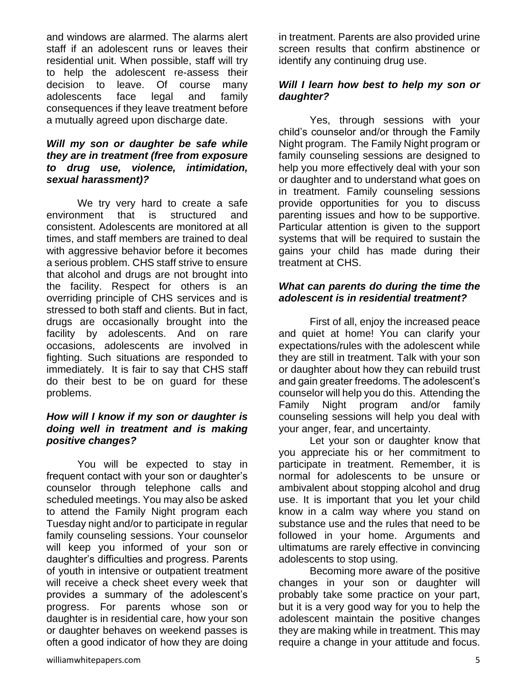and windows are alarmed. The alarms alert staff if an adolescent runs or leaves their residential unit. When possible, staff will try to help the adolescent re-assess their decision to leave. Of course many adolescents face legal and family consequences if they leave treatment before a mutually agreed upon discharge date.

#### *Will my son or daughter be safe while they are in treatment (free from exposure to drug use, violence, intimidation, sexual harassment)?*

We try very hard to create a safe environment that is structured and consistent. Adolescents are monitored at all times, and staff members are trained to deal with aggressive behavior before it becomes a serious problem. CHS staff strive to ensure that alcohol and drugs are not brought into the facility. Respect for others is an overriding principle of CHS services and is stressed to both staff and clients. But in fact, drugs are occasionally brought into the facility by adolescents. And on rare occasions, adolescents are involved in fighting. Such situations are responded to immediately. It is fair to say that CHS staff do their best to be on guard for these problems.

#### *How will I know if my son or daughter is doing well in treatment and is making positive changes?*

You will be expected to stay in frequent contact with your son or daughter's counselor through telephone calls and scheduled meetings. You may also be asked to attend the Family Night program each Tuesday night and/or to participate in regular family counseling sessions. Your counselor will keep you informed of your son or daughter's difficulties and progress. Parents of youth in intensive or outpatient treatment will receive a check sheet every week that provides a summary of the adolescent's progress. For parents whose son or daughter is in residential care, how your son or daughter behaves on weekend passes is often a good indicator of how they are doing

in treatment. Parents are also provided urine screen results that confirm abstinence or identify any continuing drug use.

#### *Will I learn how best to help my son or daughter?*

Yes, through sessions with your child's counselor and/or through the Family Night program. The Family Night program or family counseling sessions are designed to help you more effectively deal with your son or daughter and to understand what goes on in treatment. Family counseling sessions provide opportunities for you to discuss parenting issues and how to be supportive. Particular attention is given to the support systems that will be required to sustain the gains your child has made during their treatment at CHS.

# *What can parents do during the time the adolescent is in residential treatment?*

First of all, enjoy the increased peace and quiet at home! You can clarify your expectations/rules with the adolescent while they are still in treatment. Talk with your son or daughter about how they can rebuild trust and gain greater freedoms. The adolescent's counselor will help you do this. Attending the Family Night program and/or family counseling sessions will help you deal with your anger, fear, and uncertainty.

Let your son or daughter know that you appreciate his or her commitment to participate in treatment. Remember, it is normal for adolescents to be unsure or ambivalent about stopping alcohol and drug use. It is important that you let your child know in a calm way where you stand on substance use and the rules that need to be followed in your home. Arguments and ultimatums are rarely effective in convincing adolescents to stop using.

Becoming more aware of the positive changes in your son or daughter will probably take some practice on your part, but it is a very good way for you to help the adolescent maintain the positive changes they are making while in treatment. This may require a change in your attitude and focus.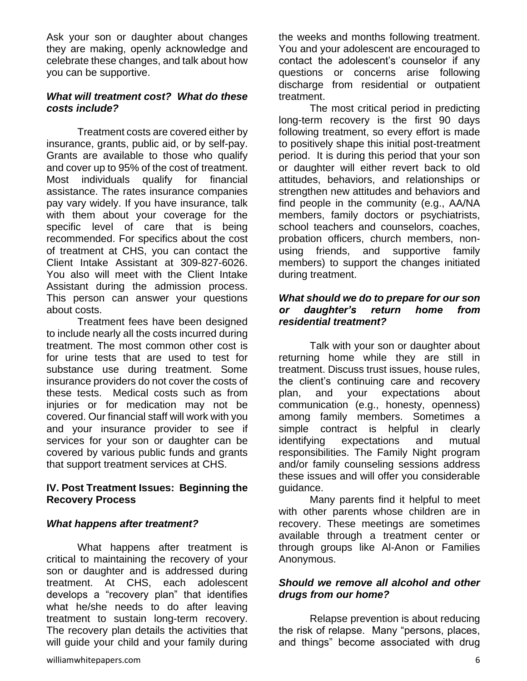Ask your son or daughter about changes they are making, openly acknowledge and celebrate these changes, and talk about how you can be supportive.

#### *What will treatment cost? What do these costs include?*

Treatment costs are covered either by insurance, grants, public aid, or by self-pay. Grants are available to those who qualify and cover up to 95% of the cost of treatment. Most individuals qualify for financial assistance. The rates insurance companies pay vary widely. If you have insurance, talk with them about your coverage for the specific level of care that is being recommended. For specifics about the cost of treatment at CHS, you can contact the Client Intake Assistant at 309-827-6026. You also will meet with the Client Intake Assistant during the admission process. This person can answer your questions about costs.

Treatment fees have been designed to include nearly all the costs incurred during treatment. The most common other cost is for urine tests that are used to test for substance use during treatment. Some insurance providers do not cover the costs of these tests. Medical costs such as from injuries or for medication may not be covered. Our financial staff will work with you and your insurance provider to see if services for your son or daughter can be covered by various public funds and grants that support treatment services at CHS.

#### **IV. Post Treatment Issues: Beginning the Recovery Process**

#### *What happens after treatment?*

What happens after treatment is critical to maintaining the recovery of your son or daughter and is addressed during treatment. At CHS, each adolescent develops a "recovery plan" that identifies what he/she needs to do after leaving treatment to sustain long-term recovery. The recovery plan details the activities that will guide your child and your family during the weeks and months following treatment. You and your adolescent are encouraged to contact the adolescent's counselor if any questions or concerns arise following discharge from residential or outpatient treatment.

The most critical period in predicting long-term recovery is the first 90 days following treatment, so every effort is made to positively shape this initial post-treatment period. It is during this period that your son or daughter will either revert back to old attitudes, behaviors, and relationships or strengthen new attitudes and behaviors and find people in the community (e.g., AA/NA members, family doctors or psychiatrists, school teachers and counselors, coaches, probation officers, church members, nonusing friends, and supportive family members) to support the changes initiated during treatment.

#### *What should we do to prepare for our son or daughter's return home from residential treatment?*

Talk with your son or daughter about returning home while they are still in treatment. Discuss trust issues, house rules, the client's continuing care and recovery plan, and your expectations about communication (e.g., honesty, openness) among family members. Sometimes a simple contract is helpful in clearly identifying expectations and mutual responsibilities. The Family Night program and/or family counseling sessions address these issues and will offer you considerable guidance.

Many parents find it helpful to meet with other parents whose children are in recovery. These meetings are sometimes available through a treatment center or through groups like Al-Anon or Families Anonymous.

#### *Should we remove all alcohol and other drugs from our home?*

Relapse prevention is about reducing the risk of relapse. Many "persons, places, and things" become associated with drug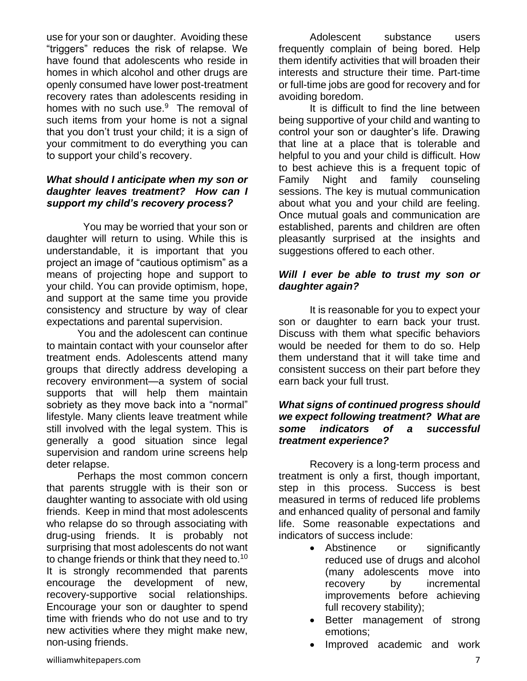use for your son or daughter. Avoiding these "triggers" reduces the risk of relapse. We have found that adolescents who reside in homes in which alcohol and other drugs are openly consumed have lower post-treatment recovery rates than adolescents residing in homes with no such use.<sup>9</sup> The removal of such items from your home is not a signal that you don't trust your child; it is a sign of your commitment to do everything you can to support your child's recovery.

### *What should I anticipate when my son or daughter leaves treatment? How can I support my child's recovery process?*

 You may be worried that your son or daughter will return to using. While this is understandable, it is important that you project an image of "cautious optimism" as a means of projecting hope and support to your child. You can provide optimism, hope, and support at the same time you provide consistency and structure by way of clear expectations and parental supervision.

You and the adolescent can continue to maintain contact with your counselor after treatment ends. Adolescents attend many groups that directly address developing a recovery environment—a system of social supports that will help them maintain sobriety as they move back into a "normal" lifestyle. Many clients leave treatment while still involved with the legal system. This is generally a good situation since legal supervision and random urine screens help deter relapse.

Perhaps the most common concern that parents struggle with is their son or daughter wanting to associate with old using friends. Keep in mind that most adolescents who relapse do so through associating with drug-using friends. It is probably not surprising that most adolescents do not want to change friends or think that they need to.<sup>10</sup> It is strongly recommended that parents encourage the development of new, recovery-supportive social relationships. Encourage your son or daughter to spend time with friends who do not use and to try new activities where they might make new, non-using friends.

Adolescent substance users frequently complain of being bored. Help them identify activities that will broaden their interests and structure their time. Part-time or full-time jobs are good for recovery and for avoiding boredom.

It is difficult to find the line between being supportive of your child and wanting to control your son or daughter's life. Drawing that line at a place that is tolerable and helpful to you and your child is difficult. How to best achieve this is a frequent topic of Family Night and family counseling sessions. The key is mutual communication about what you and your child are feeling. Once mutual goals and communication are established, parents and children are often pleasantly surprised at the insights and suggestions offered to each other.

# *Will I ever be able to trust my son or daughter again?*

It is reasonable for you to expect your son or daughter to earn back your trust. Discuss with them what specific behaviors would be needed for them to do so. Help them understand that it will take time and consistent success on their part before they earn back your full trust.

#### *What signs of continued progress should we expect following treatment? What are some indicators of a successful treatment experience?*

Recovery is a long-term process and treatment is only a first, though important, step in this process. Success is best measured in terms of reduced life problems and enhanced quality of personal and family life. Some reasonable expectations and indicators of success include:

- Abstinence or significantly reduced use of drugs and alcohol (many adolescents move into recovery by incremental improvements before achieving full recovery stability);
- Better management of strong emotions;
- Improved academic and work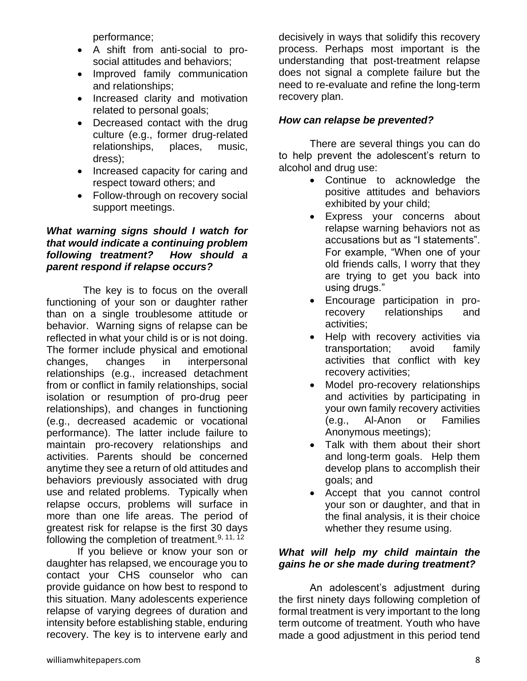performance;

- A shift from anti-social to prosocial attitudes and behaviors;
- Improved family communication and relationships;
- Increased clarity and motivation related to personal goals;
- Decreased contact with the drug culture (e.g., former drug-related relationships, places, music, dress);
- Increased capacity for caring and respect toward others; and
- Follow-through on recovery social support meetings.

### *What warning signs should I watch for that would indicate a continuing problem following treatment? How should a parent respond if relapse occurs?*

 The key is to focus on the overall functioning of your son or daughter rather than on a single troublesome attitude or behavior. Warning signs of relapse can be reflected in what your child is or is not doing. The former include physical and emotional changes, changes in interpersonal relationships (e.g., increased detachment from or conflict in family relationships, social isolation or resumption of pro-drug peer relationships), and changes in functioning (e.g., decreased academic or vocational performance). The latter include failure to maintain pro-recovery relationships and activities. Parents should be concerned anytime they see a return of old attitudes and behaviors previously associated with drug use and related problems. Typically when relapse occurs, problems will surface in more than one life areas. The period of greatest risk for relapse is the first 30 days following the completion of treatment.<sup>9, 11, 12</sup>

If you believe or know your son or daughter has relapsed, we encourage you to contact your CHS counselor who can provide guidance on how best to respond to this situation. Many adolescents experience relapse of varying degrees of duration and intensity before establishing stable, enduring recovery. The key is to intervene early and decisively in ways that solidify this recovery process. Perhaps most important is the understanding that post-treatment relapse does not signal a complete failure but the need to re-evaluate and refine the long-term recovery plan.

# *How can relapse be prevented?*

There are several things you can do to help prevent the adolescent's return to alcohol and drug use:

- Continue to acknowledge the positive attitudes and behaviors exhibited by your child;
- Express your concerns about relapse warning behaviors not as accusations but as "I statements". For example, "When one of your old friends calls, I worry that they are trying to get you back into using drugs."
- Encourage participation in prorecovery relationships and activities;
- Help with recovery activities via transportation; avoid family activities that conflict with key recovery activities;
- Model pro-recovery relationships and activities by participating in your own family recovery activities (e.g., Al-Anon or Families Anonymous meetings);
- Talk with them about their short and long-term goals. Help them develop plans to accomplish their goals; and
- Accept that you cannot control your son or daughter, and that in the final analysis, it is their choice whether they resume using.

#### *What will help my child maintain the gains he or she made during treatment?*

An adolescent's adjustment during the first ninety days following completion of formal treatment is very important to the long term outcome of treatment. Youth who have made a good adjustment in this period tend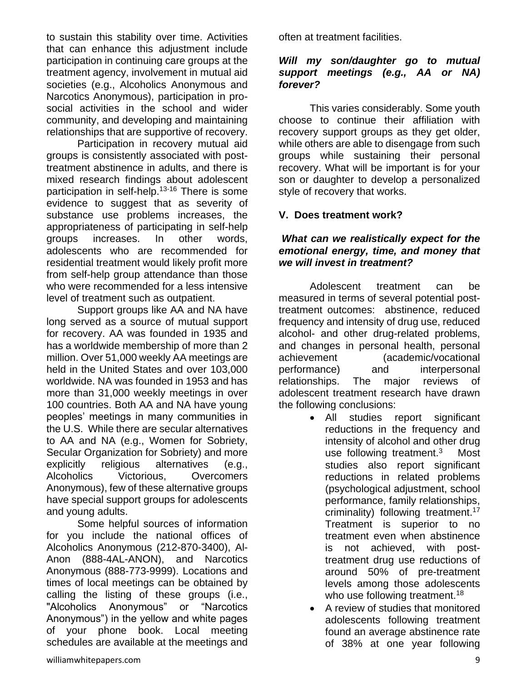to sustain this stability over time. Activities that can enhance this adjustment include participation in continuing care groups at the treatment agency, involvement in mutual aid societies (e.g., Alcoholics Anonymous and Narcotics Anonymous), participation in prosocial activities in the school and wider community, and developing and maintaining relationships that are supportive of recovery.

Participation in recovery mutual aid groups is consistently associated with posttreatment abstinence in adults, and there is mixed research findings about adolescent participation in self-help.<sup>13-16</sup> There is some evidence to suggest that as severity of substance use problems increases, the appropriateness of participating in self-help groups increases. In other words, adolescents who are recommended for residential treatment would likely profit more from self-help group attendance than those who were recommended for a less intensive level of treatment such as outpatient.

Support groups like AA and NA have long served as a source of mutual support for recovery. AA was founded in 1935 and has a worldwide membership of more than 2 million. Over 51,000 weekly AA meetings are held in the United States and over 103,000 worldwide. NA was founded in 1953 and has more than 31,000 weekly meetings in over 100 countries. Both AA and NA have young peoples' meetings in many communities in the U.S. While there are secular alternatives to AA and NA (e.g., Women for Sobriety, Secular Organization for Sobriety) and more explicitly religious alternatives (e.g., Alcoholics Victorious, Overcomers Anonymous), few of these alternative groups have special support groups for adolescents and young adults.

Some helpful sources of information for you include the national offices of Alcoholics Anonymous (212-870-3400), Al-Anon (888-4AL-ANON), and Narcotics Anonymous (888-773-9999). Locations and times of local meetings can be obtained by calling the listing of these groups (i.e., "Alcoholics Anonymous" or "Narcotics Anonymous") in the yellow and white pages of your phone book. Local meeting schedules are available at the meetings and often at treatment facilities.

#### *Will my son/daughter go to mutual support meetings (e.g., AA or NA) forever?*

This varies considerably. Some youth choose to continue their affiliation with recovery support groups as they get older, while others are able to disengage from such groups while sustaining their personal recovery. What will be important is for your son or daughter to develop a personalized style of recovery that works.

# **V. Does treatment work?**

# *What can we realistically expect for the emotional energy, time, and money that we will invest in treatment?*

Adolescent treatment can be measured in terms of several potential posttreatment outcomes: abstinence, reduced frequency and intensity of drug use, reduced alcohol- and other drug-related problems, and changes in personal health, personal achievement (academic/vocational performance) and interpersonal relationships. The major reviews of adolescent treatment research have drawn the following conclusions:

- All studies report significant reductions in the frequency and intensity of alcohol and other drug use following treatment.<sup>3</sup> Most studies also report significant reductions in related problems (psychological adjustment, school performance, family relationships, criminality) following treatment.<sup>17</sup> Treatment is superior to no treatment even when abstinence is not achieved, with posttreatment drug use reductions of around 50% of pre-treatment levels among those adolescents who use following treatment.<sup>18</sup>
- A review of studies that monitored adolescents following treatment found an average abstinence rate of 38% at one year following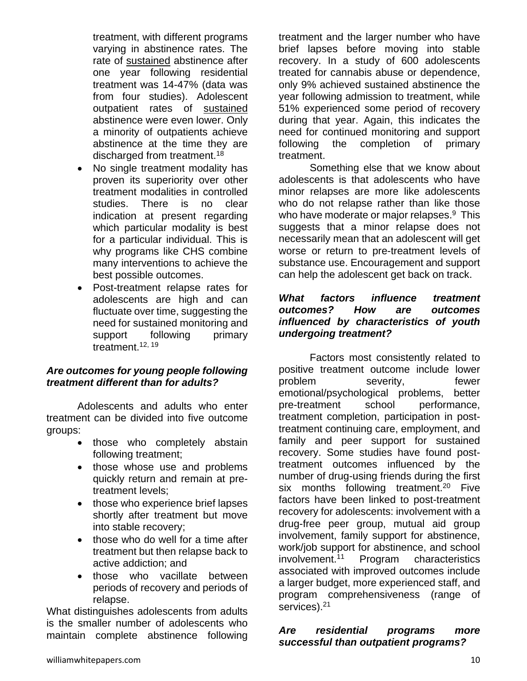treatment, with different programs varying in abstinence rates. The rate of sustained abstinence after one year following residential treatment was 14-47% (data was from four studies). Adolescent outpatient rates of sustained abstinence were even lower. Only a minority of outpatients achieve abstinence at the time they are discharged from treatment.<sup>18</sup>

- No single treatment modality has proven its superiority over other treatment modalities in controlled studies. There is no clear indication at present regarding which particular modality is best for a particular individual. This is why programs like CHS combine many interventions to achieve the best possible outcomes.
- Post-treatment relapse rates for adolescents are high and can fluctuate over time, suggesting the need for sustained monitoring and support following primary treatment.<sup>12, 19</sup>

#### *Are outcomes for young people following treatment different than for adults?*

Adolescents and adults who enter treatment can be divided into five outcome groups:

- those who completely abstain following treatment;
- those whose use and problems quickly return and remain at pretreatment levels;
- those who experience brief lapses shortly after treatment but move into stable recovery;
- those who do well for a time after treatment but then relapse back to active addiction; and
- those who vacillate between periods of recovery and periods of relapse.

What distinguishes adolescents from adults is the smaller number of adolescents who maintain complete abstinence following

treatment and the larger number who have brief lapses before moving into stable recovery. In a study of 600 adolescents treated for cannabis abuse or dependence, only 9% achieved sustained abstinence the year following admission to treatment, while 51% experienced some period of recovery during that year. Again, this indicates the need for continued monitoring and support following the completion of primary treatment.

Something else that we know about adolescents is that adolescents who have minor relapses are more like adolescents who do not relapse rather than like those who have moderate or major relapses.<sup>9</sup> This suggests that a minor relapse does not necessarily mean that an adolescent will get worse or return to pre-treatment levels of substance use. Encouragement and support can help the adolescent get back on track.

#### *What factors influence treatment outcomes? How are outcomes influenced by characteristics of youth undergoing treatment?*

Factors most consistently related to positive treatment outcome include lower problem severity, fewer emotional/psychological problems, better pre-treatment school performance, treatment completion, participation in posttreatment continuing care, employment, and family and peer support for sustained recovery. Some studies have found posttreatment outcomes influenced by the number of drug-using friends during the first six months following treatment.<sup>20</sup> Five factors have been linked to post-treatment recovery for adolescents: involvement with a drug-free peer group, mutual aid group involvement, family support for abstinence, work/job support for abstinence, and school involvement.<sup>11</sup> Program characteristics associated with improved outcomes include a larger budget, more experienced staff, and program comprehensiveness (range of services).<sup>21</sup>

#### *Are residential programs more successful than outpatient programs?*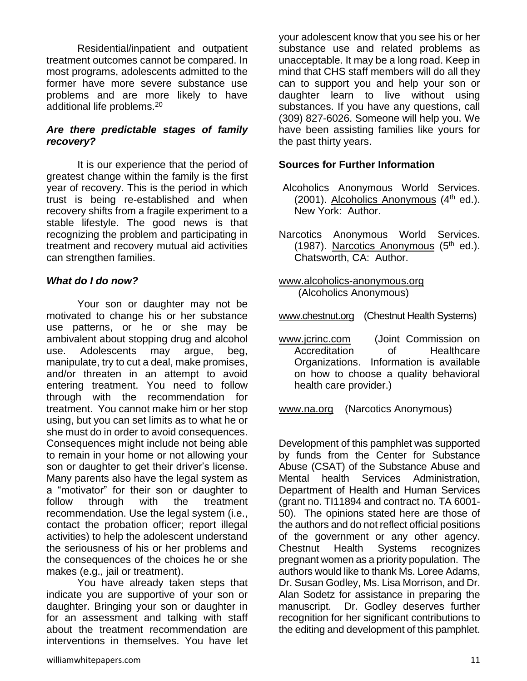Residential/inpatient and outpatient treatment outcomes cannot be compared. In most programs, adolescents admitted to the former have more severe substance use problems and are more likely to have additional life problems.<sup>20</sup>

#### *Are there predictable stages of family recovery?*

It is our experience that the period of greatest change within the family is the first year of recovery. This is the period in which trust is being re-established and when recovery shifts from a fragile experiment to a stable lifestyle. The good news is that recognizing the problem and participating in treatment and recovery mutual aid activities can strengthen families.

#### *What do I do now?*

Your son or daughter may not be motivated to change his or her substance use patterns, or he or she may be ambivalent about stopping drug and alcohol use. Adolescents may argue, beg, manipulate, try to cut a deal, make promises, and/or threaten in an attempt to avoid entering treatment. You need to follow through with the recommendation for treatment. You cannot make him or her stop using, but you can set limits as to what he or she must do in order to avoid consequences. Consequences might include not being able to remain in your home or not allowing your son or daughter to get their driver's license. Many parents also have the legal system as a "motivator" for their son or daughter to follow through with the treatment recommendation. Use the legal system (i.e., contact the probation officer; report illegal activities) to help the adolescent understand the seriousness of his or her problems and the consequences of the choices he or she makes (e.g., jail or treatment).

You have already taken steps that indicate you are supportive of your son or daughter. Bringing your son or daughter in for an assessment and talking with staff about the treatment recommendation are interventions in themselves. You have let your adolescent know that you see his or her substance use and related problems as unacceptable. It may be a long road. Keep in mind that CHS staff members will do all they can to support you and help your son or daughter learn to live without using substances. If you have any questions, call (309) 827-6026. Someone will help you. We have been assisting families like yours for the past thirty years.

#### **Sources for Further Information**

- Alcoholics Anonymous World Services.  $(2001)$ . Alcoholics Anonymous  $(4<sup>th</sup>$  ed.). New York: Author.
- Narcotics Anonymous World Services. (1987). Narcotics Anonymous  $(5<sup>th</sup>$  ed.). Chatsworth, CA: Author.
- [www.alcoholics-anonymous.org](http://www.alcoholics-anonymous.org/)  (Alcoholics Anonymous)
- [www.chestnut.org](http://www.chestnut.org/) (Chestnut Health Systems)
- [www.jcrinc.com](http://www.jcrinc.com/) (Joint Commission on Accreditation of Healthcare Organizations. Information is available on how to choose a quality behavioral health care provider.)

[www.na.org](http://www.na.org/) (Narcotics Anonymous)

Development of this pamphlet was supported by funds from the Center for Substance Abuse (CSAT) of the Substance Abuse and Mental health Services Administration, Department of Health and Human Services (grant no. TI11894 and contract no. TA 6001- 50). The opinions stated here are those of the authors and do not reflect official positions of the government or any other agency. Chestnut Health Systems recognizes pregnant women as a priority population. The authors would like to thank Ms. Loree Adams, Dr. Susan Godley, Ms. Lisa Morrison, and Dr. Alan Sodetz for assistance in preparing the manuscript. Dr. Godley deserves further recognition for her significant contributions to the editing and development of this pamphlet.